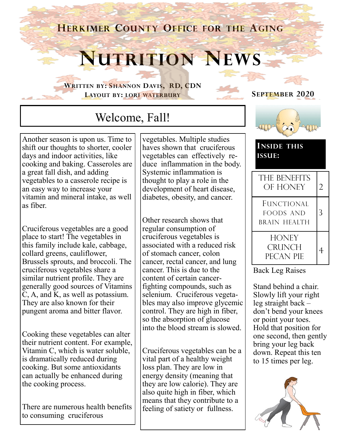**HERKIMER COUNTY OFFICE FOR THE AGING**

# **NUTRITION NEWS**

**WRITTEN BY: SHANNON DAVIS, RD, CDN LAYOUT BY: LORI WATERBURY**

## Welcome, Fall!

Another season is upon us. Time to shift our thoughts to shorter, cooler days and indoor activities, like cooking and baking. Casseroles are a great fall dish, and adding vegetables to a casserole recipe is an easy way to increase your vitamin and mineral intake, as well as fiber.

Cruciferous vegetables are a good place to start! The vegetables in this family include kale, cabbage, collard greens, cauliflower, Brussels sprouts, and broccoli. The cruciferous vegetables share a similar nutrient profile. They are generally good sources of Vitamins C, A, and K, as well as potassium. They are also known for their pungent aroma and bitter flavor.

Cooking these vegetables can alter their nutrient content. For example, Vitamin C, which is water soluble, is dramatically reduced during cooking. But some antioxidants can actually be enhanced during the cooking process.

There are numerous health benefits to consuming cruciferous

vegetables. Multiple studies haves shown that cruciferous vegetables can effectively reduce inflammation in the body. Systemic inflammation is thought to play a role in the development of heart disease, diabetes, obesity, and cancer.

Other research shows that regular consumption of cruciferous vegetables is associated with a reduced risk of stomach cancer, colon cancer, rectal cancer, and lung cancer. This is due to the content of certain cancerfighting compounds, such as selenium. Cruciferous vegetables may also improve glycemic control. They are high in fiber, so the absorption of glucose into the blood stream is slowed.

Cruciferous vegetables can be a vital part of a healthy weight loss plan. They are low in energy density (meaning that they are low calorie). They are also quite high in fiber, which means that they contribute to a feeling of satiety or fullness.





**INSIDE THIS ISSUE:**

| THE BENEFITS<br>OF HONEY                              | $\mathcal{D}_{\cdot}$ |
|-------------------------------------------------------|-----------------------|
| <b>FUNCTIONAL</b><br><b>FOODS AND</b><br>BRAIN HEALTH | ጓ                     |
| <b>HONEY</b><br><b>CRUNCH</b><br>PECAN PIE            |                       |

Back Leg Raises

Stand behind a chair. Slowly lift your right leg straight back – don't bend your knees or point your toes. Hold that position for one second, then gently bring your leg back down. Repeat this ten to 15 times per leg.

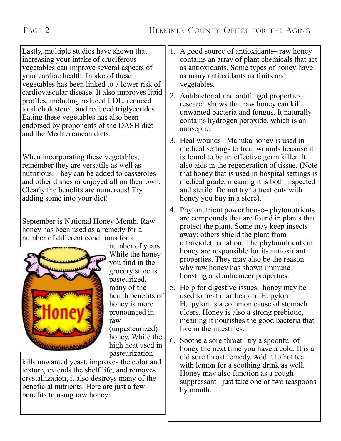Lastly, multiple studies have shown that increasing your intake of cruciferous vegetables can improve several aspects of your cardiac health. Intake of these vegetables has been linked to a lower risk of cardiovascular disease. It also improves lipid profiles, including reduced LDL, reduced total cholesterol, and reduced triglycerides. Eating these vegetables has also been endorsed by proponents of the DASH diet and the Mediterranean diets.

When incorporating these vegetables, remember they are versatile as well as nutritious. They can be added to casseroles and other dishes or enjoyed all on their own. Clearly the benefits are numerous! Try adding some into your diet!

September is National Honey Month. Raw honey has been used as a remedy for a number of different conditions for a



number of years. While the honey you find in the grocery store is pasteurized, many of the health benefits of honey is more pronounced in raw (unpasteurized) honey. While the high heat used in

pasteurization

kills unwanted yeast, improves the color and texture, extends the shelf life, and removes crystallization, it also destroys many of the beneficial nutrients. Here are just a few benefits to using raw honey:

- 1. A good source of antioxidants– raw honey contains an array of plant chemicals that act as antioxidants. Some types of honey have as many antioxidants as fruits and vegetables.
- 2. Antibacterial and antifungal properties– research shows that raw honey can kill unwanted bacteria and fungus. It naturally contains hydrogen peroxide, which is an antiseptic.
- 3. Heal wounds– Manuka honey is used in medical settings to treat wounds because it is found to be an effective germ killer. It also aids in the regeneration of tissue. (Note that honey that is used in hospital settings is medical grade, meaning it is both inspected and sterile. Do not try to treat cuts with honey you buy in a store).
- 4. Phytonutrient power house– phytonutrients are compounds that are found in plants that protect the plant. Some may keep insects away; others shield the plant from ultraviolet radiation. The phytonutrients in honey are responsible for its antioxidant properties. They may also be the reason why raw honey has shown immuneboosting and anticancer properties.
- 5. Help for digestive issues– honey may be used to treat diarrhea and H. pylori. H. pylori is a common cause of stomach ulcers. Honey is also a strong prebiotic, meaning it nourishes the good bacteria that live in the intestines.
- 6. Soothe a sore throat– try a spoonful of honey the next time you have a cold. It is an old sore throat remedy. Add it to hot tea with lemon for a soothing drink as well. Honey may also function as a cough suppressant– just take one or two teaspoons by mouth.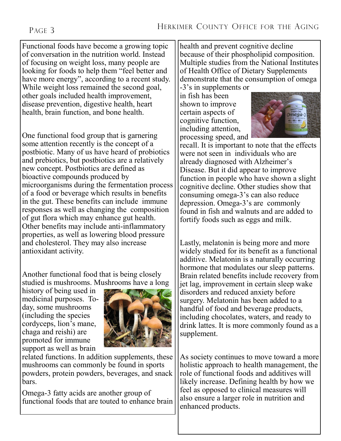#### PAGE 3

Functional foods have become a growing topic of conversation in the nutrition world. Instead of focusing on weight loss, many people are looking for foods to help them "feel better and have more energy", according to a recent study. While weight loss remained the second goal, other goals included health improvement, disease prevention, digestive health, heart health, brain function, and bone health.

One functional food group that is garnering some attention recently is the concept of a postbiotic. Many of us have heard of probiotics and prebiotics, but postbiotics are a relatively new concept. Postbiotics are defined as bioactive compounds produced by microorganisms during the fermentation process of a food or beverage which results in benefits in the gut. These benefits can include immune responses as well as changing the composition of gut flora which may enhance gut health. Other benefits may include anti-inflammatory properties, as well as lowering blood pressure and cholesterol. They may also increase antioxidant activity.

Another functional food that is being closely studied is mushrooms. Mushrooms have a long

history of being used in medicinal purposes. Today, some mushrooms (including the species cordyceps, lion's mane, chaga and reishi) are promoted for immune support as well as brain



related functions. In addition supplements, these mushrooms can commonly be found in sports powders, protein powders, beverages, and snack bars.

Omega-3 fatty acids are another group of functional foods that are touted to enhance brain health and prevent cognitive decline because of their phospholipid composition. Multiple studies from the National Institutes of Health Office of Dietary Supplements demonstrate that the consumption of omega

-3's in supplements or in fish has been shown to improve certain aspects of cognitive function, including attention, processing speed, and



recall. It is important to note that the effects were not seen in individuals who are already diagnosed with Alzheimer's Disease. But it did appear to improve function in people who have shown a slight cognitive decline. Other studies show that consuming omega-3's can also reduce depression. Omega-3's are commonly found in fish and walnuts and are added to fortify foods such as eggs and milk.

Lastly, melatonin is being more and more widely studied for its benefit as a functional additive. Melatonin is a naturally occurring hormone that modulates our sleep patterns. Brain related benefits include recovery from jet lag, improvement in certain sleep wake disorders and reduced anxiety before surgery. Melatonin has been added to a handful of food and beverage products, including chocolates, waters, and ready to drink lattes. It is more commonly found as a supplement.

As society continues to move toward a more holistic approach to health management, the role of functional foods and additives will likely increase. Defining health by how we feel as opposed to clinical measures will also ensure a larger role in nutrition and enhanced products.